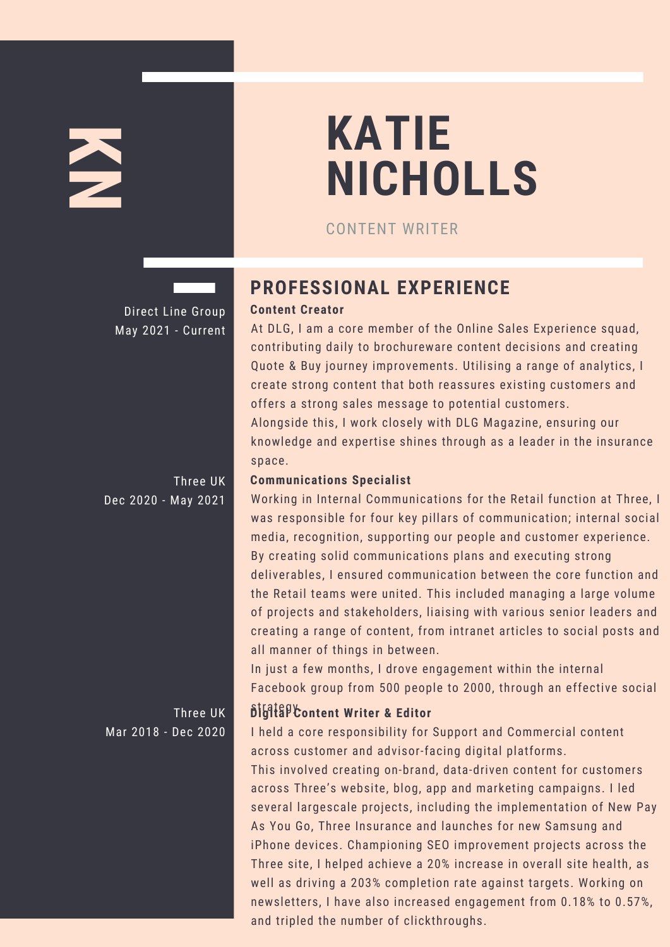# **K N**

# **KATIE NICHOLLS**

CONTENT WRITER

Direct Line Group May 2021 - Current

Three UK Dec 2020 - May 2021

Mar 2018 - Dec 2020

## **PROFESSIONAL EXPERIENCE**

### **Content Creator**

At DLG, I am a core member of the Online Sales Experience squad, contributing daily to brochureware content decisions and creating Quote & Buy journey improvements. Utilising a range of analytics, I create strong content that both reassures existing customers and offers a strong sales message to potential customers.

Alongside this, I work closely with DLG Magazine, ensuring our knowledge and expertise shines through as a leader in the insurance space.

#### **Communications Specialist**

Working in Internal Communications for the Retail function at Three, I was responsible for four key pillars of communication; internal social media, recognition, supporting our people and customer experience. By creating solid communications plans and executing strong deliverables, I ensured communication between the core function and the Retail teams were united. This included managing a large volume of projects and stakeholders, liaising with various senior leaders and creating a range of content, from intranet articles to social posts and all manner of things in between.

In just a few months, I drove engagement within the internal Facebook group from 500 people to 2000, through an effective social

### **Three UK Digitally Content Writer & Editor**

I held a core responsibility for Support and Commercial content across customer and advisor-facing digital platforms.

This involved creating on-brand, data-driven content for customers across Three's website, blog, app and marketing campaigns. I led several largescale projects, including the implementation of New Pay As You Go, Three Insurance and launches for new Samsung and iPhone devices. Championing SEO improvement projects across the Three site, I helped achieve a 20% increase in overall site health, as well as driving a 203% completion rate against targets. Working on newsletters, I have also increased engagement from 0.18% to 0.57%, and tripled the number of clickthroughs.